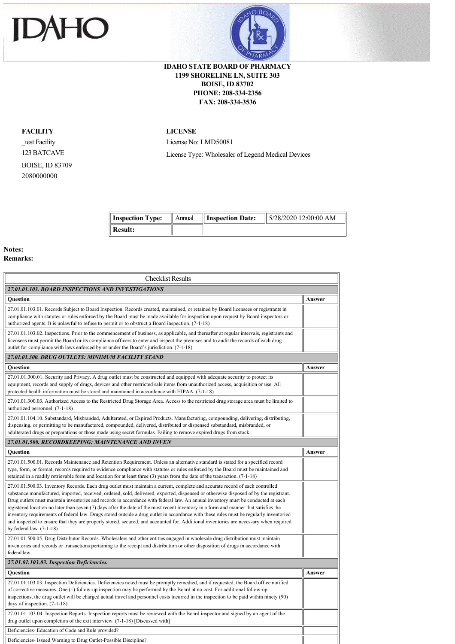



## **IDAHO STATE BOARD OF PHARMACY 1199 SHORELINE LN, SUITE 303 BOISE, ID 83702 PHONE: 208-334-2356 FAX: 208-334-3536**

**FACILITY**

\_test Facility 123 BATCAVE BOISE, ID 83709 2080000000

**LICENSE**

License No: LMD50081 License Type: Wholesaler of Legend Medical Devices

| $\parallel$ Inspection Type: | Annual | <b>Inspection Date:</b> | $\parallel$ 5/28/2020 12:00:00 AM |
|------------------------------|--------|-------------------------|-----------------------------------|
| $\parallel$ Result:          |        |                         |                                   |

## **Notes: Remarks:**

| <b>Checklist Results</b>                                                                                                                                                                                                                                                                                                                                                                                                                                                                                                                                                                                                                                                                                                                                                                                                                                            |        |  |  |
|---------------------------------------------------------------------------------------------------------------------------------------------------------------------------------------------------------------------------------------------------------------------------------------------------------------------------------------------------------------------------------------------------------------------------------------------------------------------------------------------------------------------------------------------------------------------------------------------------------------------------------------------------------------------------------------------------------------------------------------------------------------------------------------------------------------------------------------------------------------------|--------|--|--|
| 27.01.01.103. BOARD INSPECTIONS AND INVESTIGATIONS                                                                                                                                                                                                                                                                                                                                                                                                                                                                                                                                                                                                                                                                                                                                                                                                                  |        |  |  |
| <b>Ouestion</b>                                                                                                                                                                                                                                                                                                                                                                                                                                                                                                                                                                                                                                                                                                                                                                                                                                                     | Answer |  |  |
| 27.01.01.103.01. Records Subject to Board Inspection. Records created, maintained, or retained by Board licensees or registrants in<br>compliance with statutes or rules enforced by the Board must be made available for inspection upon request by Board inspectors or<br>authorized agents. It is unlawful to refuse to permit or to obstruct a Board inspection. (7-1-18)                                                                                                                                                                                                                                                                                                                                                                                                                                                                                       |        |  |  |
| 27.01.01.103.02. Inspections. Prior to the commencement of business, as applicable, and thereafter at regular intervals, registrants and<br>licensees must permit the Board or its compliance officers to enter and inspect the premises and to audit the records of each drug<br>outlet for compliance with laws enforced by or under the Board's jurisdiction. (7-1-18)                                                                                                                                                                                                                                                                                                                                                                                                                                                                                           |        |  |  |
| 27.01.01.300. DRUG OUTLETS: MINIMUM FACILITY STAND                                                                                                                                                                                                                                                                                                                                                                                                                                                                                                                                                                                                                                                                                                                                                                                                                  |        |  |  |
| Question                                                                                                                                                                                                                                                                                                                                                                                                                                                                                                                                                                                                                                                                                                                                                                                                                                                            | Answer |  |  |
| 27.01.01.300.01. Security and Privacy. A drug outlet must be constructed and equipped with adequate security to protect its<br>equipment, records and supply of drugs, devices and other restricted sale items from unauthorized access, acquisition or use. All<br>protected health information must be stored and maintained in accordance with HIPAA. (7-1-18)                                                                                                                                                                                                                                                                                                                                                                                                                                                                                                   |        |  |  |
| 27.01.01.300.03. Authorized Access to the Restricted Drug Storage Area. Access to the restricted drug storage area must be limited to<br>authorized personnel. (7-1-18)                                                                                                                                                                                                                                                                                                                                                                                                                                                                                                                                                                                                                                                                                             |        |  |  |
| 27.01.01.104.10. Substandard, Misbranded, Adulterated, or Expired Products. Manufacturing, compounding, delivering, distributing,<br>dispensing, or permitting to be manufactured, compounded, delivered, distributed or dispensed substandard, misbranded, or<br>adulterated drugs or preparations or those made using secret formulas. Failing to remove expired drugs from stock.                                                                                                                                                                                                                                                                                                                                                                                                                                                                                |        |  |  |
| 27.01.01.500, RECORDKEEPING: MAINTENANCE AND INVEN                                                                                                                                                                                                                                                                                                                                                                                                                                                                                                                                                                                                                                                                                                                                                                                                                  |        |  |  |
| <b>Ouestion</b>                                                                                                                                                                                                                                                                                                                                                                                                                                                                                                                                                                                                                                                                                                                                                                                                                                                     | Answer |  |  |
| 27.01.01.500.01. Records Maintenance and Retention Requirement. Unless an alternative standard is stated for a specified record<br>type, form, or format, records required to evidence compliance with statutes or rules enforced by the Board must be maintained and<br>retained in a readily retrievable form and location for at least three $(3)$ years from the date of the transaction. $(7-1-18)$                                                                                                                                                                                                                                                                                                                                                                                                                                                            |        |  |  |
| 27.01.01.500.03. Inventory Records. Each drug outlet must maintain a current, complete and accurate record of each controlled<br>substance manufactured, imported, received, ordered, sold, delivered, exported, dispensed or otherwise disposed of by the registrant.<br>Drug outlets must maintain inventories and records in accordance with federal law. An annual inventory must be conducted at each<br>registered location no later than seven (7) days after the date of the most recent inventory in a form and manner that satisfies the<br>inventory requirements of federal law. Drugs stored outside a drug outlet in accordance with these rules must be regularly inventoried<br>and inspected to ensure that they are properly stored, secured, and accounted for. Additional inventories are necessary when required<br>by federal law. $(7-1-18)$ |        |  |  |
| 27.01.01.500.05. Drug Distributor Records. Wholesalers and other entities engaged in wholesale drug distribution must maintain<br>inventories and records or transactions pertaining to the receipt and distribution or other disposition of drugs in accordance with<br>federal law.                                                                                                                                                                                                                                                                                                                                                                                                                                                                                                                                                                               |        |  |  |
| 27.01.01.103.03. Inspection Deficiencies.                                                                                                                                                                                                                                                                                                                                                                                                                                                                                                                                                                                                                                                                                                                                                                                                                           |        |  |  |
| Question                                                                                                                                                                                                                                                                                                                                                                                                                                                                                                                                                                                                                                                                                                                                                                                                                                                            | Answer |  |  |
| 27.01.01.103.03. Inspection Deficiencies. Deficiencies noted must be promptly remedied, and if requested, the Board office notified<br>of corrective measures. One (1) follow-up inspection may be performed by the Board at no cost. For additional follow-up<br>inspections, the drug outlet will be charged actual travel and personnel costs incurred in the inspection to be paid within ninety (90)<br>days of inspection. $(7-1-18)$                                                                                                                                                                                                                                                                                                                                                                                                                         |        |  |  |
| 27.01.01.103.04. Inspection Reports. Inspection reports must be reviewed with the Board inspector and signed by an agent of the<br>drug outlet upon completion of the exit interview. (7-1-18) [Discussed with]                                                                                                                                                                                                                                                                                                                                                                                                                                                                                                                                                                                                                                                     |        |  |  |
| Deficiencies-Education of Code and Rule provided?                                                                                                                                                                                                                                                                                                                                                                                                                                                                                                                                                                                                                                                                                                                                                                                                                   |        |  |  |
| Deficiencies- Issued Warning to Drug Outlet-Possible Discipline?                                                                                                                                                                                                                                                                                                                                                                                                                                                                                                                                                                                                                                                                                                                                                                                                    |        |  |  |